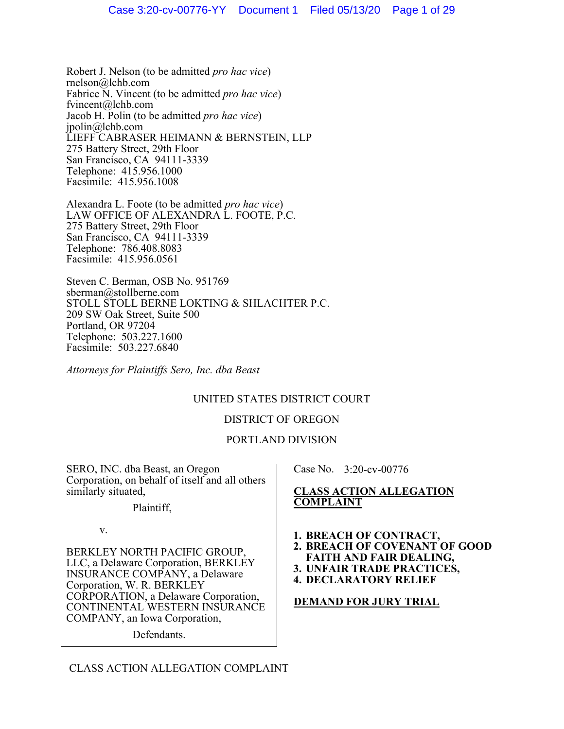Robert J. Nelson (to be admitted *pro hac vice*) rnelson@lchb.com Fabrice N. Vincent (to be admitted *pro hac vice*) fvincent@lchb.com Jacob H. Polin (to be admitted *pro hac vice*) jpolin@lchb.com LIEFF CABRASER HEIMANN & BERNSTEIN, LLP 275 Battery Street, 29th Floor San Francisco, CA 94111-3339 Telephone: 415.956.1000 Facsimile: 415.956.1008

Alexandra L. Foote (to be admitted *pro hac vice*) LAW OFFICE OF ALEXANDRA L. FOOTE, P.C. 275 Battery Street, 29th Floor San Francisco, CA 94111-3339 Telephone: 786.408.8083 Facsimile: 415.956.0561

Steven C. Berman, OSB No. 951769 sberman@stollberne.com STOLL STOLL BERNE LOKTING & SHLACHTER P.C. 209 SW Oak Street, Suite 500 Portland, OR 97204 Telephone: 503.227.1600 Facsimile: 503.227.6840

*Attorneys for Plaintiffs Sero, Inc. dba Beast*

# UNITED STATES DISTRICT COURT

## DISTRICT OF OREGON

# PORTLAND DIVISION

SERO, INC. dba Beast, an Oregon Corporation, on behalf of itself and all others similarly situated,

Plaintiff,

v.

BERKLEY NORTH PACIFIC GROUP, LLC, a Delaware Corporation, BERKLEY INSURANCE COMPANY, a Delaware Corporation, W. R. BERKLEY CORPORATION, a Delaware Corporation, CONTINENTAL WESTERN INSURANCE COMPANY, an Iowa Corporation,

Defendants.

Case No. 3:20-cv-00776

## **CLASS ACTION ALLEGATION COMPLAINT**

- **1. BREACH OF CONTRACT,**
- **2. BREACH OF COVENANT OF GOOD**
- **FAITH AND FAIR DEALING,**
- **3. UNFAIR TRADE PRACTICES,**
- **4. DECLARATORY RELIEF**

#### **DEMAND FOR JURY TRIAL**

CLASS ACTION ALLEGATION COMPLAINT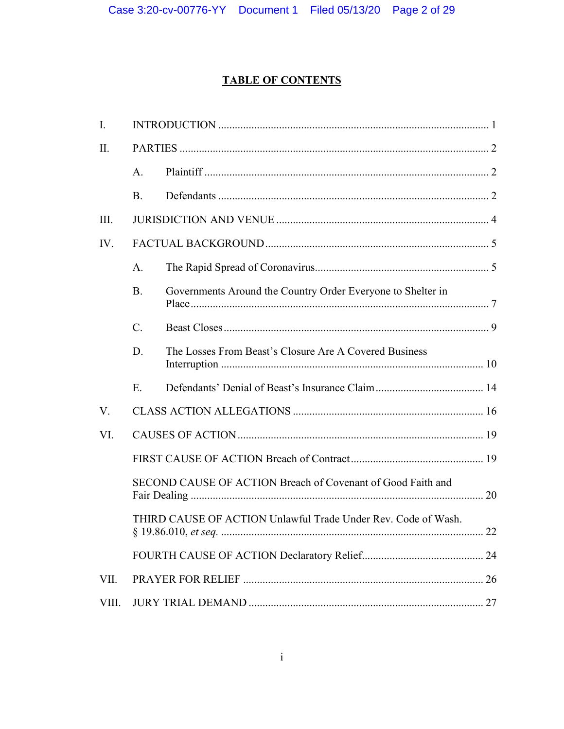# **TABLE OF CONTENTS**

| $\mathbf{I}$ . |                                                               |                                                             |  |
|----------------|---------------------------------------------------------------|-------------------------------------------------------------|--|
| II.            |                                                               |                                                             |  |
|                | A.                                                            |                                                             |  |
|                | <b>B.</b>                                                     |                                                             |  |
| III.           |                                                               |                                                             |  |
| IV.            |                                                               |                                                             |  |
|                | $\mathbf{A}$ .                                                |                                                             |  |
|                | <b>B.</b>                                                     | Governments Around the Country Order Everyone to Shelter in |  |
|                | $\mathcal{C}$ .                                               |                                                             |  |
|                | D.                                                            | The Losses From Beast's Closure Are A Covered Business      |  |
|                | E                                                             |                                                             |  |
| V.             |                                                               |                                                             |  |
| VI.            |                                                               |                                                             |  |
|                |                                                               |                                                             |  |
|                | SECOND CAUSE OF ACTION Breach of Covenant of Good Faith and   |                                                             |  |
|                | THIRD CAUSE OF ACTION Unlawful Trade Under Rev. Code of Wash. |                                                             |  |
|                |                                                               |                                                             |  |
| VII.           |                                                               |                                                             |  |
| VIII.          |                                                               |                                                             |  |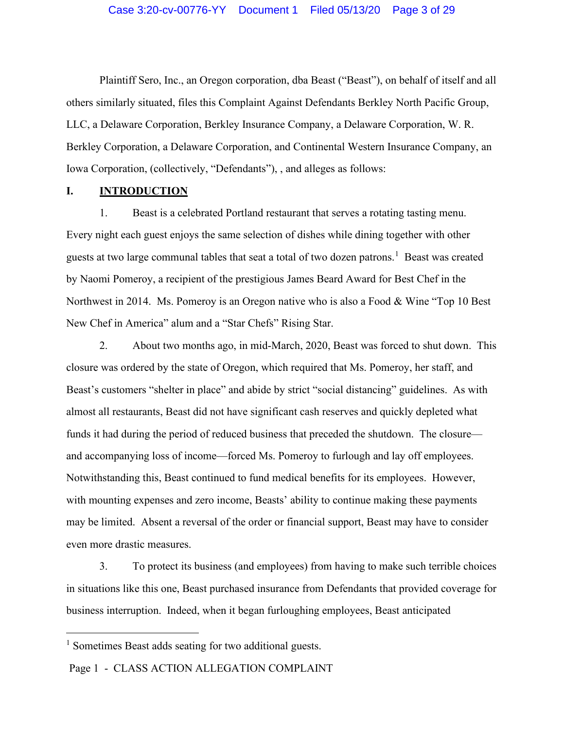Plaintiff Sero, Inc., an Oregon corporation, dba Beast ("Beast"), on behalf of itself and all others similarly situated, files this Complaint Against Defendants Berkley North Pacific Group, LLC, a Delaware Corporation, Berkley Insurance Company, a Delaware Corporation, W. R. Berkley Corporation, a Delaware Corporation, and Continental Western Insurance Company, an Iowa Corporation, (collectively, "Defendants"), , and alleges as follows:

#### <span id="page-2-0"></span>**I. INTRODUCTION**

1. Beast is a celebrated Portland restaurant that serves a rotating tasting menu. Every night each guest enjoys the same selection of dishes while dining together with other guests at two large communal tables that seat a total of two dozen patrons.<sup>[1](#page-2-1)</sup> Beast was created by Naomi Pomeroy, a recipient of the prestigious James Beard Award for Best Chef in the Northwest in 2014. Ms. Pomeroy is an Oregon native who is also a Food & Wine "Top 10 Best New Chef in America" alum and a "Star Chefs" Rising Star.

2. About two months ago, in mid-March, 2020, Beast was forced to shut down. This closure was ordered by the state of Oregon, which required that Ms. Pomeroy, her staff, and Beast's customers "shelter in place" and abide by strict "social distancing" guidelines. As with almost all restaurants, Beast did not have significant cash reserves and quickly depleted what funds it had during the period of reduced business that preceded the shutdown. The closure and accompanying loss of income—forced Ms. Pomeroy to furlough and lay off employees. Notwithstanding this, Beast continued to fund medical benefits for its employees. However, with mounting expenses and zero income, Beasts' ability to continue making these payments may be limited. Absent a reversal of the order or financial support, Beast may have to consider even more drastic measures.

3. To protect its business (and employees) from having to make such terrible choices in situations like this one, Beast purchased insurance from Defendants that provided coverage for business interruption. Indeed, when it began furloughing employees, Beast anticipated

Page 1 - CLASS ACTION ALLEGATION COMPLAINT

<span id="page-2-1"></span><sup>&</sup>lt;sup>1</sup> Sometimes Beast adds seating for two additional guests.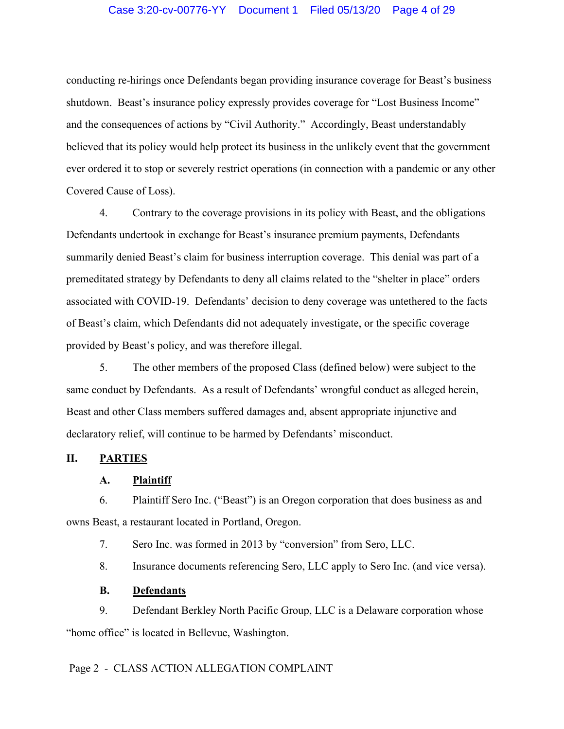conducting re-hirings once Defendants began providing insurance coverage for Beast's business shutdown. Beast's insurance policy expressly provides coverage for "Lost Business Income" and the consequences of actions by "Civil Authority." Accordingly, Beast understandably believed that its policy would help protect its business in the unlikely event that the government ever ordered it to stop or severely restrict operations (in connection with a pandemic or any other Covered Cause of Loss).

4. Contrary to the coverage provisions in its policy with Beast, and the obligations Defendants undertook in exchange for Beast's insurance premium payments, Defendants summarily denied Beast's claim for business interruption coverage. This denial was part of a premeditated strategy by Defendants to deny all claims related to the "shelter in place" orders associated with COVID-19. Defendants' decision to deny coverage was untethered to the facts of Beast's claim, which Defendants did not adequately investigate, or the specific coverage provided by Beast's policy, and was therefore illegal.

5. The other members of the proposed Class (defined below) were subject to the same conduct by Defendants. As a result of Defendants' wrongful conduct as alleged herein, Beast and other Class members suffered damages and, absent appropriate injunctive and declaratory relief, will continue to be harmed by Defendants' misconduct.

## <span id="page-3-1"></span><span id="page-3-0"></span>**II. PARTIES**

#### **A. Plaintiff**

6. Plaintiff Sero Inc. ("Beast") is an Oregon corporation that does business as and owns Beast, a restaurant located in Portland, Oregon.

7. Sero Inc. was formed in 2013 by "conversion" from Sero, LLC.

8. Insurance documents referencing Sero, LLC apply to Sero Inc. (and vice versa).

#### **B. Defendants**

<span id="page-3-2"></span>9. Defendant Berkley North Pacific Group, LLC is a Delaware corporation whose "home office" is located in Bellevue, Washington.

# Page 2 - CLASS ACTION ALLEGATION COMPLAINT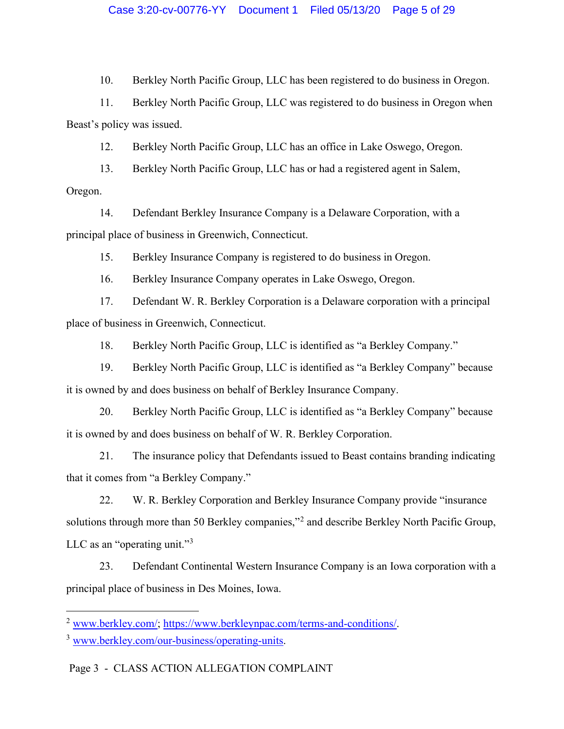10. Berkley North Pacific Group, LLC has been registered to do business in Oregon.

11. Berkley North Pacific Group, LLC was registered to do business in Oregon when Beast's policy was issued.

12. Berkley North Pacific Group, LLC has an office in Lake Oswego, Oregon.

13. Berkley North Pacific Group, LLC has or had a registered agent in Salem, Oregon.

14. Defendant Berkley Insurance Company is a Delaware Corporation, with a principal place of business in Greenwich, Connecticut.

15. Berkley Insurance Company is registered to do business in Oregon.

16. Berkley Insurance Company operates in Lake Oswego, Oregon.

17. Defendant W. R. Berkley Corporation is a Delaware corporation with a principal place of business in Greenwich, Connecticut.

18. Berkley North Pacific Group, LLC is identified as "a Berkley Company."

19. Berkley North Pacific Group, LLC is identified as "a Berkley Company" because it is owned by and does business on behalf of Berkley Insurance Company.

20. Berkley North Pacific Group, LLC is identified as "a Berkley Company" because it is owned by and does business on behalf of W. R. Berkley Corporation.

21. The insurance policy that Defendants issued to Beast contains branding indicating that it comes from "a Berkley Company."

22. W. R. Berkley Corporation and Berkley Insurance Company provide "insurance solutions through more than 50 Berkley companies,"[2](#page-4-0) and describe Berkley North Pacific Group, LLC as an "operating unit."[3](#page-4-1)

23. Defendant Continental Western Insurance Company is an Iowa corporation with a principal place of business in Des Moines, Iowa.

<span id="page-4-0"></span><sup>2</sup> [www.berkley.com/;](http://www.berkley.com/) [https://www.berkleynpac.com/terms-and-conditions/.](https://www.berkleynpac.com/terms-and-conditions/)

<span id="page-4-1"></span><sup>3</sup> [www.berkley.com/our-business/operating-units.](http://www.berkley.com/our-business/operating-units)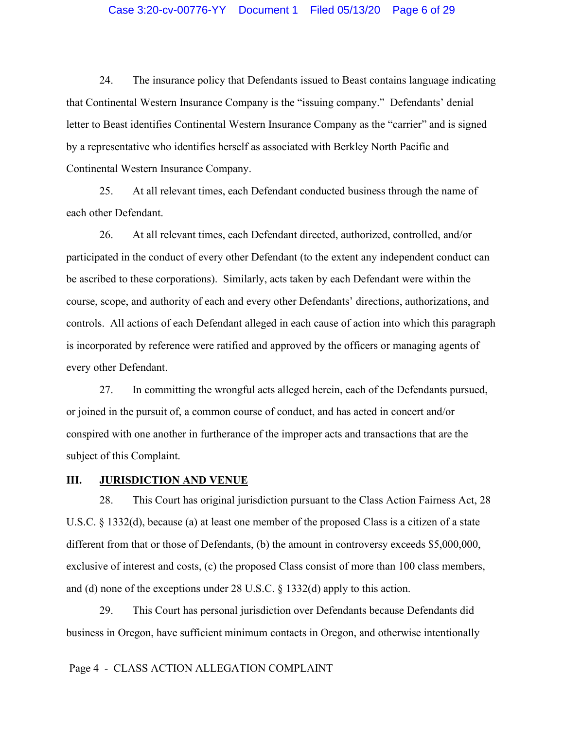## Case 3:20-cv-00776-YY Document 1 Filed 05/13/20 Page 6 of 29

24. The insurance policy that Defendants issued to Beast contains language indicating that Continental Western Insurance Company is the "issuing company." Defendants' denial letter to Beast identifies Continental Western Insurance Company as the "carrier" and is signed by a representative who identifies herself as associated with Berkley North Pacific and Continental Western Insurance Company.

25. At all relevant times, each Defendant conducted business through the name of each other Defendant.

26. At all relevant times, each Defendant directed, authorized, controlled, and/or participated in the conduct of every other Defendant (to the extent any independent conduct can be ascribed to these corporations). Similarly, acts taken by each Defendant were within the course, scope, and authority of each and every other Defendants' directions, authorizations, and controls. All actions of each Defendant alleged in each cause of action into which this paragraph is incorporated by reference were ratified and approved by the officers or managing agents of every other Defendant.

27. In committing the wrongful acts alleged herein, each of the Defendants pursued, or joined in the pursuit of, a common course of conduct, and has acted in concert and/or conspired with one another in furtherance of the improper acts and transactions that are the subject of this Complaint.

#### <span id="page-5-0"></span>**III. JURISDICTION AND VENUE**

28. This Court has original jurisdiction pursuant to the Class Action Fairness Act, 28 U.S.C. § 1332(d), because (a) at least one member of the proposed Class is a citizen of a state different from that or those of Defendants, (b) the amount in controversy exceeds \$5,000,000, exclusive of interest and costs, (c) the proposed Class consist of more than 100 class members, and (d) none of the exceptions under 28 U.S.C. § 1332(d) apply to this action.

29. This Court has personal jurisdiction over Defendants because Defendants did business in Oregon, have sufficient minimum contacts in Oregon, and otherwise intentionally

#### Page 4 - CLASS ACTION ALLEGATION COMPLAINT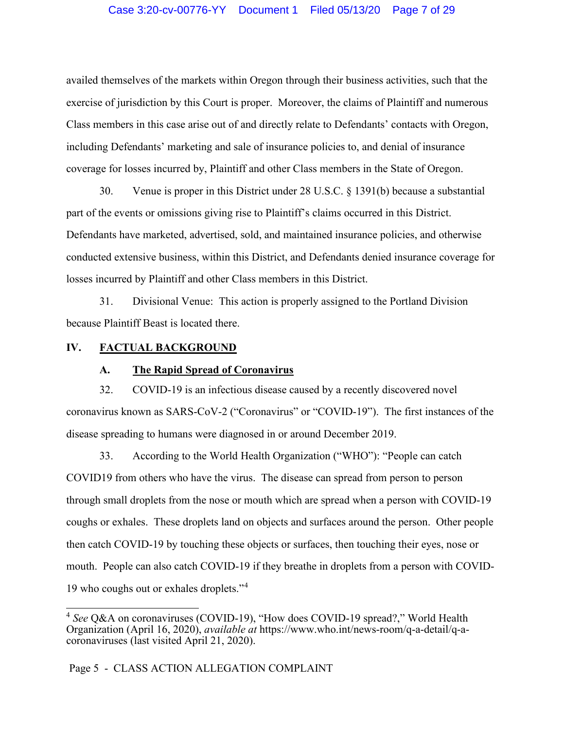## Case 3:20-cv-00776-YY Document 1 Filed 05/13/20 Page 7 of 29

availed themselves of the markets within Oregon through their business activities, such that the exercise of jurisdiction by this Court is proper. Moreover, the claims of Plaintiff and numerous Class members in this case arise out of and directly relate to Defendants' contacts with Oregon, including Defendants' marketing and sale of insurance policies to, and denial of insurance coverage for losses incurred by, Plaintiff and other Class members in the State of Oregon.

30. Venue is proper in this District under 28 U.S.C. § 1391(b) because a substantial part of the events or omissions giving rise to Plaintiff's claims occurred in this District. Defendants have marketed, advertised, sold, and maintained insurance policies, and otherwise conducted extensive business, within this District, and Defendants denied insurance coverage for losses incurred by Plaintiff and other Class members in this District.

31. Divisional Venue: This action is properly assigned to the Portland Division because Plaintiff Beast is located there.

## <span id="page-6-1"></span><span id="page-6-0"></span>**IV. FACTUAL BACKGROUND**

#### **A. The Rapid Spread of Coronavirus**

32. COVID-19 is an infectious disease caused by a recently discovered novel coronavirus known as SARS-CoV-2 ("Coronavirus" or "COVID-19"). The first instances of the disease spreading to humans were diagnosed in or around December 2019.

33. According to the World Health Organization ("WHO"): "People can catch COVID19 from others who have the virus. The disease can spread from person to person through small droplets from the nose or mouth which are spread when a person with COVID-19 coughs or exhales. These droplets land on objects and surfaces around the person. Other people then catch COVID-19 by touching these objects or surfaces, then touching their eyes, nose or mouth. People can also catch COVID-19 if they breathe in droplets from a person with COVID-19 who coughs out or exhales droplets."[4](#page-6-2)

<span id="page-6-2"></span><sup>4</sup> *See* Q&A on coronaviruses (COVID-19), "How does COVID-19 spread?," World Health Organization (April 16, 2020), *available at* https://www.who.int/news-room/q-a-detail/q-acoronaviruses (last visited April 21, 2020).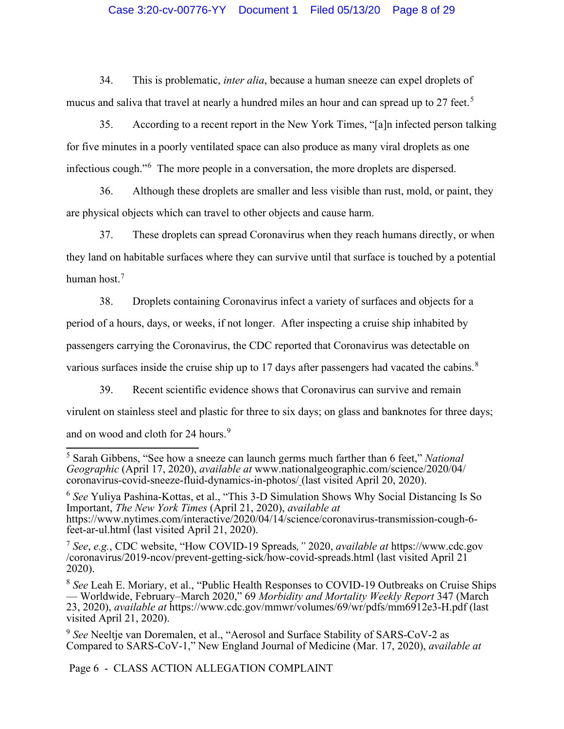# Case 3:20-cv-00776-YY Document 1 Filed 05/13/20 Page 8 of 29

34. This is problematic, *inter alia*, because a human sneeze can expel droplets of mucus and saliva that travel at nearly a hundred miles an hour and can spread up to 27 feet.<sup>[5](#page-7-0)</sup>

35. According to a recent report in the New York Times, "[a]n infected person talking for five minutes in a poorly ventilated space can also produce as many viral droplets as one infectious cough."[6](#page-7-1) The more people in a conversation, the more droplets are dispersed.

36. Although these droplets are smaller and less visible than rust, mold, or paint, they are physical objects which can travel to other objects and cause harm.

37. These droplets can spread Coronavirus when they reach humans directly, or when they land on habitable surfaces where they can survive until that surface is touched by a potential human host.<sup>[7](#page-7-2)</sup>

38. Droplets containing Coronavirus infect a variety of surfaces and objects for a period of a hours, days, or weeks, if not longer. After inspecting a cruise ship inhabited by passengers carrying the Coronavirus, the CDC reported that Coronavirus was detectable on various surfaces inside the cruise ship up to 17 days after passengers had vacated the cabins.<sup>[8](#page-7-3)</sup>

39. Recent scientific evidence shows that Coronavirus can survive and remain virulent on stainless steel and plastic for three to six days; on glass and banknotes for three days; and on wood and cloth for 24 hours.<sup>[9](#page-7-4)</sup>

<span id="page-7-1"></span><sup>6</sup> *See* Yuliya Pashina-Kottas, et al., "This 3-D Simulation Shows Why Social Distancing Is So Important, *The New York Times* (April 21, 2020), *available at* https://www.nytimes.com/interactive/2020/04/14/science/coronavirus-transmission-cough-6- feet-ar-ul.html (last visited April 21, 2020).

<span id="page-7-2"></span><sup>7</sup> *See*, *e.g.*, CDC website, "How COVID-19 Spreads*,"* 2020, *available at* https://www.cdc.gov /coronavirus/2019-ncov/prevent-getting-sick/how-covid-spreads.html (last visited April 21 2020).

Page 6 - CLASS ACTION ALLEGATION COMPLAINT

<span id="page-7-0"></span><sup>5</sup> Sarah Gibbens, "See how a sneeze can launch germs much farther than 6 feet," *National Geographic* (April 17, 2020), *available at* www.nationalgeographic.com/science/2020/04/ coronavirus-covid-sneeze-fluid-dynamics-in-photos/ (last visited April 20, 2020).

<span id="page-7-3"></span><sup>8</sup> *See* Leah E. Moriary, et al., "Public Health Responses to COVID-19 Outbreaks on Cruise Ships — Worldwide, February–March 2020," 69 *Morbidity and Mortality Weekly Report* 347 (March 23, 2020), *available at* https://www.cdc.gov/mmwr/volumes/69/wr/pdfs/mm6912e3-H.pdf (last visited April 21, 2020).

<span id="page-7-4"></span><sup>9</sup> *See* Neeltje van Doremalen, et al., "Aerosol and Surface Stability of SARS-CoV-2 as Compared to SARS-CoV-1," New England Journal of Medicine (Mar. 17, 2020), *available at*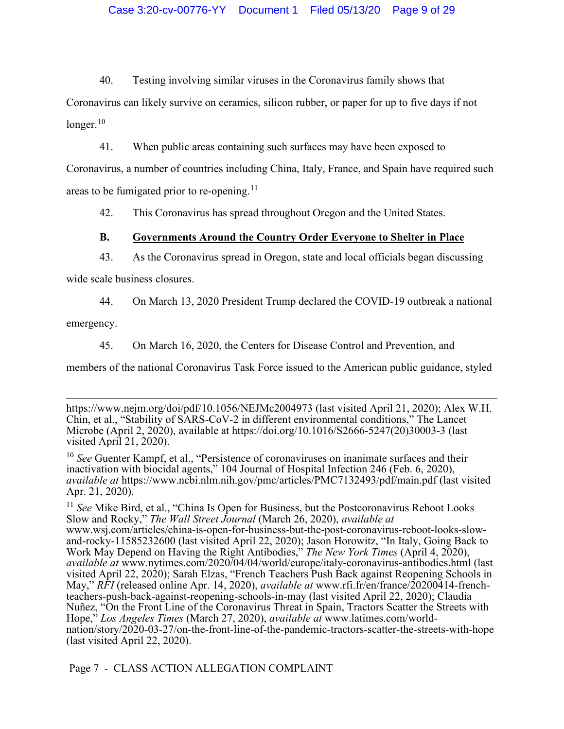40. Testing involving similar viruses in the Coronavirus family shows that

Coronavirus can likely survive on ceramics, silicon rubber, or paper for up to five days if not longer. $10$ 

41. When public areas containing such surfaces may have been exposed to

Coronavirus, a number of countries including China, Italy, France, and Spain have required such areas to be fumigated prior to re-opening.<sup>[11](#page-8-2)</sup>

42. This Coronavirus has spread throughout Oregon and the United States.

# <span id="page-8-0"></span>**B. Governments Around the Country Order Everyone to Shelter in Place**

43. As the Coronavirus spread in Oregon, state and local officials began discussing

wide scale business closures.

44. On March 13, 2020 President Trump declared the COVID-19 outbreak a national

emergency.

45. On March 16, 2020, the Centers for Disease Control and Prevention, and

members of the national Coronavirus Task Force issued to the American public guidance, styled

Page 7 - CLASS ACTION ALLEGATION COMPLAINT

https://www.nejm.org/doi/pdf/10.1056/NEJMc2004973 (last visited April 21, 2020); Alex W.H. Chin, et al., "Stability of SARS-CoV-2 in different environmental conditions," The Lancet Microbe (April 2, 2020), available at https://doi.org/10.1016/S2666-5247(20)30003-3 (last visited April 21, 2020).

<span id="page-8-1"></span><sup>10</sup> *See* Guenter Kampf, et al., "Persistence of coronaviruses on inanimate surfaces and their inactivation with biocidal agents," 104 Journal of Hospital Infection 246 (Feb. 6, 2020), *available at* https://www.ncbi.nlm.nih.gov/pmc/articles/PMC7132493/pdf/main.pdf (last visited Apr. 21, 2020).

<span id="page-8-2"></span><sup>&</sup>lt;sup>11</sup> See Mike Bird, et al., "China Is Open for Business, but the Postcoronavirus Reboot Looks Slow and Rocky," *The Wall Street Journal* (March 26, 2020), *available at*<br>www.wsj.com/articles/china-is-open-for-business-but-the-post-coronavirus-reboot-looks-slowand-rocky-11585232600 (last visited April 22, 2020); Jason Horowitz, "In Italy, Going Back to Work May Depend on Having the Right Antibodies," The New York Times (April 4, 2020), Work May Depend on Having the Right Antibodies," *The New York Times* (April 4, 2020), *available at* www.nytimes.com/2020/04/04/world/europe/italy-coronavirus-antibodies.html (last visited April 22, 2020); Sarah Elzas, "French Teachers Push Back against Reopening Schools in May," *RFI* (released online Apr. 14, 2020), *available at* www.rfi.fr/en/france/20200414-frenchteachers-push-back-against-reopening-schools-in-may (last visited April 22, 2020); Claudia Nuñez, "On the Front Line of the Coronavirus Threat in Spain, Tractors Scatter the Streets with Hope," *Los Angeles Times* (March 27, 2020), *available at* www.latimes.com/worldnation/story/2020-03-27/on-the-front-line-of-the-pandemic-tractors-scatter-the-streets-with-hope (last visited April 22, 2020).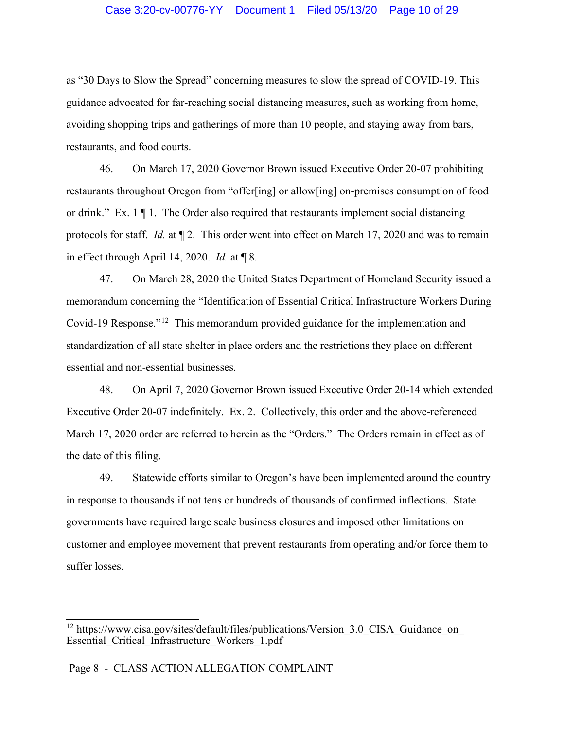#### Case 3:20-cv-00776-YY Document 1 Filed 05/13/20 Page 10 of 29

as "30 Days to Slow the Spread" concerning measures to slow the spread of COVID-19. This guidance advocated for far-reaching social distancing measures, such as working from home, avoiding shopping trips and gatherings of more than 10 people, and staying away from bars, restaurants, and food courts.

46. On March 17, 2020 Governor Brown issued Executive Order 20-07 prohibiting restaurants throughout Oregon from "offer[ing] or allow[ing] on-premises consumption of food or drink." Ex. 1 ¶ 1. The Order also required that restaurants implement social distancing protocols for staff. *Id.* at ¶ 2. This order went into effect on March 17, 2020 and was to remain in effect through April 14, 2020. *Id.* at ¶ 8.

47. On March 28, 2020 the United States Department of Homeland Security issued a memorandum concerning the "Identification of Essential Critical Infrastructure Workers During Covid-19 Response."[12](#page-9-0) This memorandum provided guidance for the implementation and standardization of all state shelter in place orders and the restrictions they place on different essential and non-essential businesses.

48. On April 7, 2020 Governor Brown issued Executive Order 20-14 which extended Executive Order 20-07 indefinitely. Ex. 2. Collectively, this order and the above-referenced March 17, 2020 order are referred to herein as the "Orders." The Orders remain in effect as of the date of this filing.

49. Statewide efforts similar to Oregon's have been implemented around the country in response to thousands if not tens or hundreds of thousands of confirmed inflections. State governments have required large scale business closures and imposed other limitations on customer and employee movement that prevent restaurants from operating and/or force them to suffer losses.

<span id="page-9-0"></span><sup>&</sup>lt;sup>12</sup> https://www.cisa.gov/sites/default/files/publications/Version\_3.0\_CISA\_Guidance\_on\_ Essential\_Critical\_Infrastructure\_Workers\_1.pdf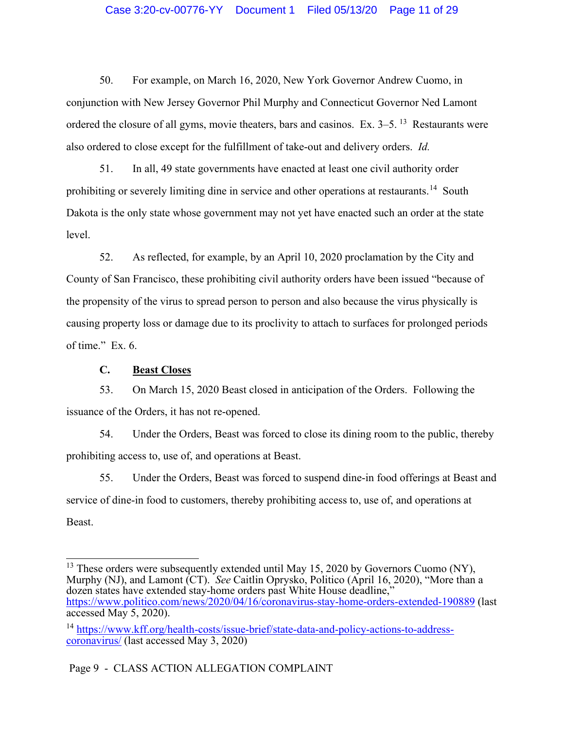## Case 3:20-cv-00776-YY Document 1 Filed 05/13/20 Page 11 of 29

50. For example, on March 16, 2020, New York Governor Andrew Cuomo, in conjunction with New Jersey Governor Phil Murphy and Connecticut Governor Ned Lamont ordered the closure of all gyms, movie theaters, bars and casinos. Ex. 3–5. [13](#page-10-1) Restaurants were also ordered to close except for the fulfillment of take-out and delivery orders. *Id.*

51. In all, 49 state governments have enacted at least one civil authority order prohibiting or severely limiting dine in service and other operations at restaurants.<sup>14</sup> South Dakota is the only state whose government may not yet have enacted such an order at the state level.

52. As reflected, for example, by an April 10, 2020 proclamation by the City and County of San Francisco, these prohibiting civil authority orders have been issued "because of the propensity of the virus to spread person to person and also because the virus physically is causing property loss or damage due to its proclivity to attach to surfaces for prolonged periods of time." Ex. 6.

# **C. Beast Closes**

<span id="page-10-0"></span>53. On March 15, 2020 Beast closed in anticipation of the Orders. Following the issuance of the Orders, it has not re-opened.

54. Under the Orders, Beast was forced to close its dining room to the public, thereby prohibiting access to, use of, and operations at Beast.

55. Under the Orders, Beast was forced to suspend dine-in food offerings at Beast and service of dine-in food to customers, thereby prohibiting access to, use of, and operations at Beast.

<span id="page-10-1"></span><sup>&</sup>lt;sup>13</sup> These orders were subsequently extended until May 15, 2020 by Governors Cuomo (NY), Murphy (NJ), and Lamont (CT). *See* Caitlin Oprysko, Politico (April 16, 2020), "More than a dozen states have extended stay-home orders past White House deadline," <https://www.politico.com/news/2020/04/16/coronavirus-stay-home-orders-extended-190889> (last accessed May 5, 2020).

<span id="page-10-2"></span><sup>&</sup>lt;sup>14</sup> [https://www.kff.org/health-costs/issue-brief/state-data-and-policy-actions-to-address](https://www.kff.org/health-costs/issue-brief/state-data-and-policy-actions-to-address-coronavirus/)[coronavirus/](https://www.kff.org/health-costs/issue-brief/state-data-and-policy-actions-to-address-coronavirus/) (last accessed May 3, 2020)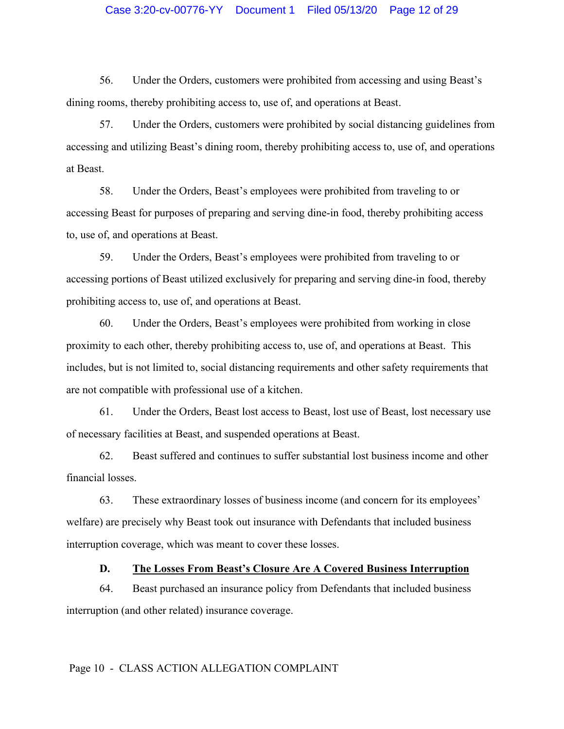## Case 3:20-cv-00776-YY Document 1 Filed 05/13/20 Page 12 of 29

56. Under the Orders, customers were prohibited from accessing and using Beast's dining rooms, thereby prohibiting access to, use of, and operations at Beast.

57. Under the Orders, customers were prohibited by social distancing guidelines from accessing and utilizing Beast's dining room, thereby prohibiting access to, use of, and operations at Beast.

58. Under the Orders, Beast's employees were prohibited from traveling to or accessing Beast for purposes of preparing and serving dine-in food, thereby prohibiting access to, use of, and operations at Beast.

59. Under the Orders, Beast's employees were prohibited from traveling to or accessing portions of Beast utilized exclusively for preparing and serving dine-in food, thereby prohibiting access to, use of, and operations at Beast.

60. Under the Orders, Beast's employees were prohibited from working in close proximity to each other, thereby prohibiting access to, use of, and operations at Beast. This includes, but is not limited to, social distancing requirements and other safety requirements that are not compatible with professional use of a kitchen.

61. Under the Orders, Beast lost access to Beast, lost use of Beast, lost necessary use of necessary facilities at Beast, and suspended operations at Beast.

62. Beast suffered and continues to suffer substantial lost business income and other financial losses.

63. These extraordinary losses of business income (and concern for its employees' welfare) are precisely why Beast took out insurance with Defendants that included business interruption coverage, which was meant to cover these losses.

## **D. The Losses From Beast's Closure Are A Covered Business Interruption**

<span id="page-11-0"></span>64. Beast purchased an insurance policy from Defendants that included business interruption (and other related) insurance coverage.

#### Page 10 - CLASS ACTION ALLEGATION COMPLAINT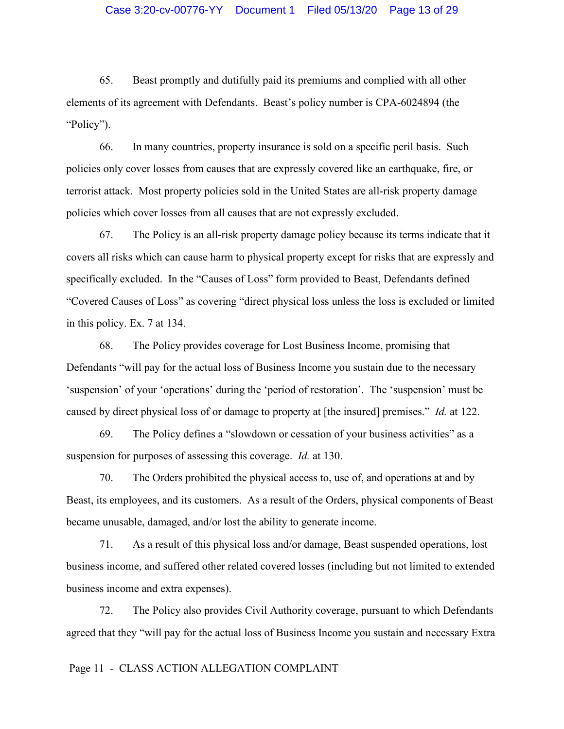## Case 3:20-cv-00776-YY Document 1 Filed 05/13/20 Page 13 of 29

65. Beast promptly and dutifully paid its premiums and complied with all other elements of its agreement with Defendants. Beast's policy number is CPA-6024894 (the "Policy").

66. In many countries, property insurance is sold on a specific peril basis. Such policies only cover losses from causes that are expressly covered like an earthquake, fire, or terrorist attack. Most property policies sold in the United States are all-risk property damage policies which cover losses from all causes that are not expressly excluded.

67. The Policy is an all-risk property damage policy because its terms indicate that it covers all risks which can cause harm to physical property except for risks that are expressly and specifically excluded. In the "Causes of Loss" form provided to Beast, Defendants defined "Covered Causes of Loss" as covering "direct physical loss unless the loss is excluded or limited in this policy. Ex. 7 at 134.

68. The Policy provides coverage for Lost Business Income, promising that Defendants "will pay for the actual loss of Business Income you sustain due to the necessary 'suspension' of your 'operations' during the 'period of restoration'. The 'suspension' must be caused by direct physical loss of or damage to property at [the insured] premises." *Id.* at 122.

69. The Policy defines a "slowdown or cessation of your business activities" as a suspension for purposes of assessing this coverage. *Id.* at 130.

70. The Orders prohibited the physical access to, use of, and operations at and by Beast, its employees, and its customers. As a result of the Orders, physical components of Beast became unusable, damaged, and/or lost the ability to generate income.

71. As a result of this physical loss and/or damage, Beast suspended operations, lost business income, and suffered other related covered losses (including but not limited to extended business income and extra expenses).

72. The Policy also provides Civil Authority coverage, pursuant to which Defendants agreed that they "will pay for the actual loss of Business Income you sustain and necessary Extra

## Page 11 - CLASS ACTION ALLEGATION COMPLAINT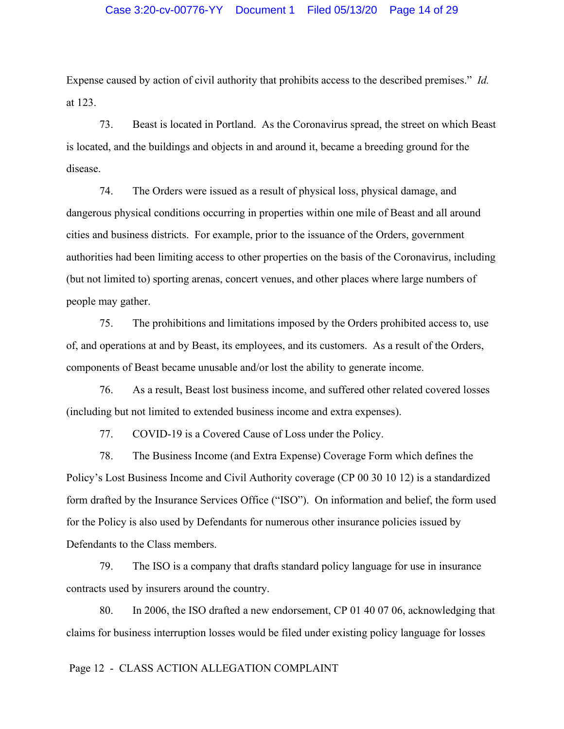Expense caused by action of civil authority that prohibits access to the described premises." *Id.* at 123.

73. Beast is located in Portland. As the Coronavirus spread, the street on which Beast is located, and the buildings and objects in and around it, became a breeding ground for the disease.

74. The Orders were issued as a result of physical loss, physical damage, and dangerous physical conditions occurring in properties within one mile of Beast and all around cities and business districts. For example, prior to the issuance of the Orders, government authorities had been limiting access to other properties on the basis of the Coronavirus, including (but not limited to) sporting arenas, concert venues, and other places where large numbers of people may gather.

75. The prohibitions and limitations imposed by the Orders prohibited access to, use of, and operations at and by Beast, its employees, and its customers. As a result of the Orders, components of Beast became unusable and/or lost the ability to generate income.

76. As a result, Beast lost business income, and suffered other related covered losses (including but not limited to extended business income and extra expenses).

77. COVID-19 is a Covered Cause of Loss under the Policy.

78. The Business Income (and Extra Expense) Coverage Form which defines the Policy's Lost Business Income and Civil Authority coverage (CP 00 30 10 12) is a standardized form drafted by the Insurance Services Office ("ISO"). On information and belief, the form used for the Policy is also used by Defendants for numerous other insurance policies issued by Defendants to the Class members.

79. The ISO is a company that drafts standard policy language for use in insurance contracts used by insurers around the country.

80. In 2006, the ISO drafted a new endorsement, CP 01 40 07 06, acknowledging that claims for business interruption losses would be filed under existing policy language for losses

## Page 12 - CLASS ACTION ALLEGATION COMPLAINT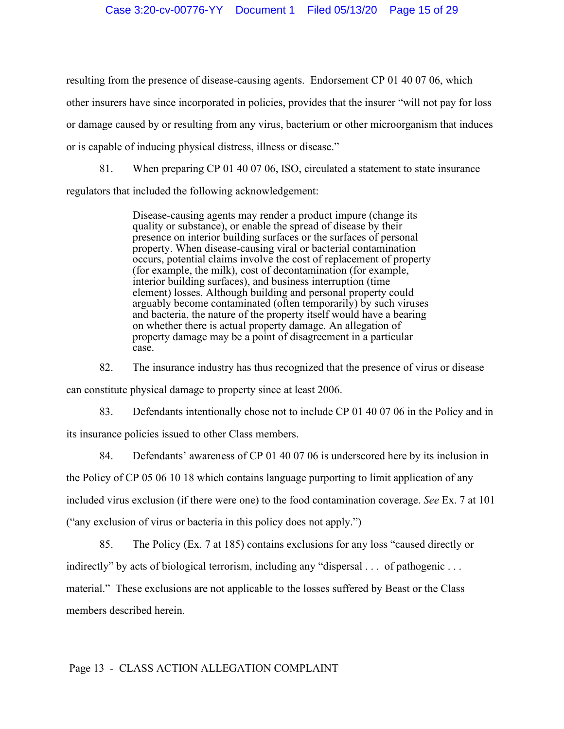resulting from the presence of disease-causing agents. Endorsement CP 01 40 07 06, which other insurers have since incorporated in policies, provides that the insurer "will not pay for loss or damage caused by or resulting from any virus, bacterium or other microorganism that induces or is capable of inducing physical distress, illness or disease."

81. When preparing CP 01 40 07 06, ISO, circulated a statement to state insurance regulators that included the following acknowledgement:

> Disease-causing agents may render a product impure (change its quality or substance), or enable the spread of disease by their presence on interior building surfaces or the surfaces of personal property. When disease-causing viral or bacterial contamination occurs, potential claims involve the cost of replacement of property (for example, the milk), cost of decontamination (for example, interior building surfaces), and business interruption (time element) losses. Although building and personal property could arguably become contaminated (often temporarily) by such viruses and bacteria, the nature of the property itself would have a bearing on whether there is actual property damage. An allegation of property damage may be a point of disagreement in a particular case.

82. The insurance industry has thus recognized that the presence of virus or disease can constitute physical damage to property since at least 2006.

83. Defendants intentionally chose not to include CP 01 40 07 06 in the Policy and in its insurance policies issued to other Class members.

84. Defendants' awareness of CP 01 40 07 06 is underscored here by its inclusion in the Policy of CP 05 06 10 18 which contains language purporting to limit application of any included virus exclusion (if there were one) to the food contamination coverage. *See* Ex. 7 at 101 ("any exclusion of virus or bacteria in this policy does not apply.")

85. The Policy (Ex. 7 at 185) contains exclusions for any loss "caused directly or indirectly" by acts of biological terrorism, including any "dispersal . . . of pathogenic . . . material." These exclusions are not applicable to the losses suffered by Beast or the Class members described herein.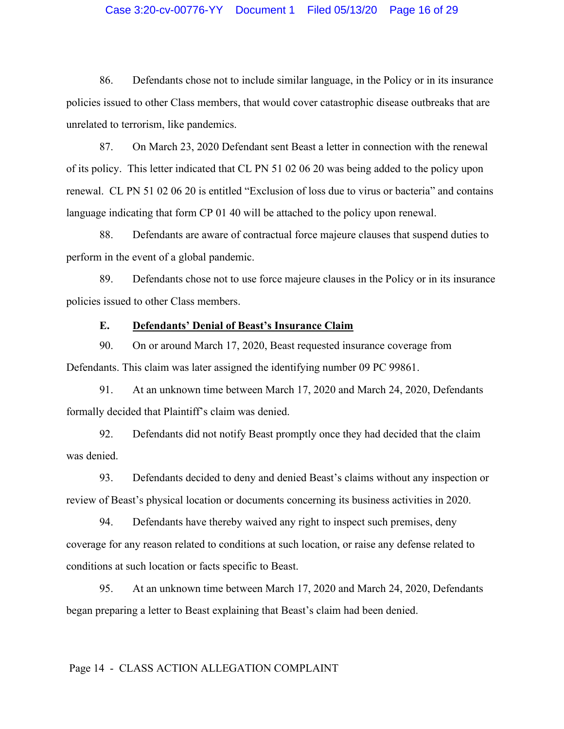## Case 3:20-cv-00776-YY Document 1 Filed 05/13/20 Page 16 of 29

86. Defendants chose not to include similar language, in the Policy or in its insurance policies issued to other Class members, that would cover catastrophic disease outbreaks that are unrelated to terrorism, like pandemics.

87. On March 23, 2020 Defendant sent Beast a letter in connection with the renewal of its policy. This letter indicated that CL PN 51 02 06 20 was being added to the policy upon renewal. CL PN 51 02 06 20 is entitled "Exclusion of loss due to virus or bacteria" and contains language indicating that form CP 01 40 will be attached to the policy upon renewal.

88. Defendants are aware of contractual force majeure clauses that suspend duties to perform in the event of a global pandemic.

89. Defendants chose not to use force majeure clauses in the Policy or in its insurance policies issued to other Class members.

## **E. Defendants' Denial of Beast's Insurance Claim**

<span id="page-15-0"></span>90. On or around March 17, 2020, Beast requested insurance coverage from Defendants. This claim was later assigned the identifying number 09 PC 99861.

91. At an unknown time between March 17, 2020 and March 24, 2020, Defendants formally decided that Plaintiff's claim was denied.

92. Defendants did not notify Beast promptly once they had decided that the claim was denied.

93. Defendants decided to deny and denied Beast's claims without any inspection or review of Beast's physical location or documents concerning its business activities in 2020.

94. Defendants have thereby waived any right to inspect such premises, deny coverage for any reason related to conditions at such location, or raise any defense related to conditions at such location or facts specific to Beast.

95. At an unknown time between March 17, 2020 and March 24, 2020, Defendants began preparing a letter to Beast explaining that Beast's claim had been denied.

## Page 14 - CLASS ACTION ALLEGATION COMPLAINT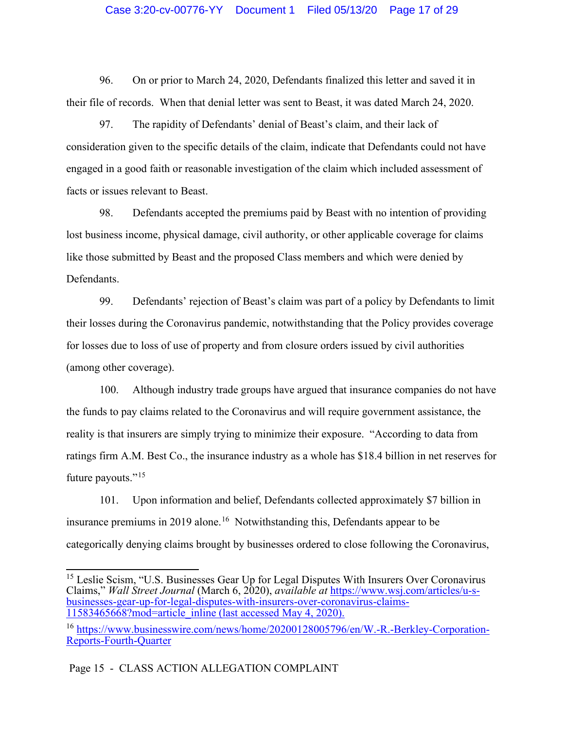## Case 3:20-cv-00776-YY Document 1 Filed 05/13/20 Page 17 of 29

96. On or prior to March 24, 2020, Defendants finalized this letter and saved it in their file of records. When that denial letter was sent to Beast, it was dated March 24, 2020.

97. The rapidity of Defendants' denial of Beast's claim, and their lack of consideration given to the specific details of the claim, indicate that Defendants could not have engaged in a good faith or reasonable investigation of the claim which included assessment of facts or issues relevant to Beast.

98. Defendants accepted the premiums paid by Beast with no intention of providing lost business income, physical damage, civil authority, or other applicable coverage for claims like those submitted by Beast and the proposed Class members and which were denied by Defendants.

99. Defendants' rejection of Beast's claim was part of a policy by Defendants to limit their losses during the Coronavirus pandemic, notwithstanding that the Policy provides coverage for losses due to loss of use of property and from closure orders issued by civil authorities (among other coverage).

100. Although industry trade groups have argued that insurance companies do not have the funds to pay claims related to the Coronavirus and will require government assistance, the reality is that insurers are simply trying to minimize their exposure. "According to data from ratings firm A.M. Best Co., the insurance industry as a whole has \$18.4 billion in net reserves for future payouts."[15](#page-16-0)

101. Upon information and belief, Defendants collected approximately \$7 billion in insurance premiums in 2019 alone.<sup>[16](#page-16-1)</sup> Notwithstanding this, Defendants appear to be categorically denying claims brought by businesses ordered to close following the Coronavirus,

<span id="page-16-0"></span><sup>15</sup> Leslie Scism, "U.S. Businesses Gear Up for Legal Disputes With Insurers Over Coronavirus Claims," *Wall Street Journal* (March 6, 2020), *available at* [https://www.wsj.com/articles/u-s](https://www.wsj.com/articles/u-s-businesses-gear-up-for-legal-disputes-with-insurers-over-coronavirus-claims-11583465668?mod=article_inline)[businesses-gear-up-for-legal-disputes-with-insurers-over-coronavirus-claims-](https://www.wsj.com/articles/u-s-businesses-gear-up-for-legal-disputes-with-insurers-over-coronavirus-claims-11583465668?mod=article_inline) [11583465668?mod=article\\_inline](https://www.wsj.com/articles/u-s-businesses-gear-up-for-legal-disputes-with-insurers-over-coronavirus-claims-11583465668?mod=article_inline) (last accessed May 4, 2020).

Page 15 - CLASS ACTION ALLEGATION COMPLAINT

<span id="page-16-1"></span><sup>&</sup>lt;sup>16</sup> [https://www.businesswire.com/news/home/20200128005796/en/W.-R.-Berkley-Corporation-](https://www.businesswire.com/news/home/20200128005796/en/W.-R.-Berkley-Corporation-Reports-Fourth-Quarter)[Reports-Fourth-Quarter](https://www.businesswire.com/news/home/20200128005796/en/W.-R.-Berkley-Corporation-Reports-Fourth-Quarter)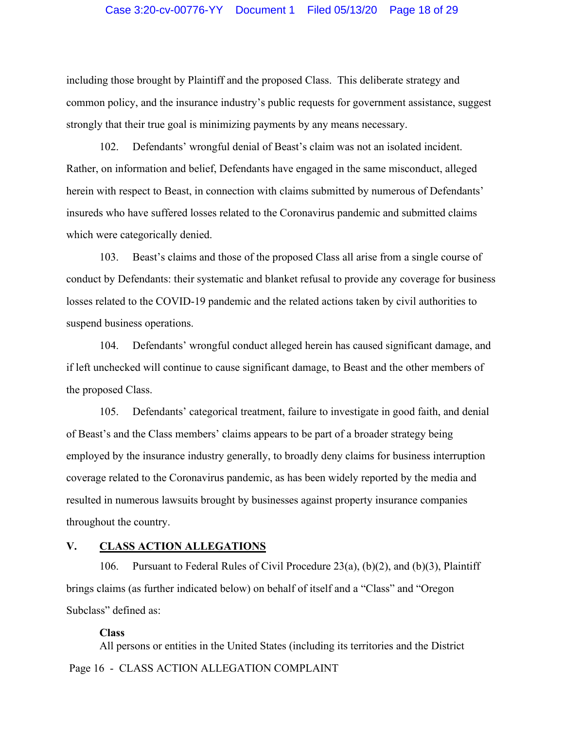#### Case 3:20-cv-00776-YY Document 1 Filed 05/13/20 Page 18 of 29

including those brought by Plaintiff and the proposed Class. This deliberate strategy and common policy, and the insurance industry's public requests for government assistance, suggest strongly that their true goal is minimizing payments by any means necessary.

102. Defendants' wrongful denial of Beast's claim was not an isolated incident. Rather, on information and belief, Defendants have engaged in the same misconduct, alleged herein with respect to Beast, in connection with claims submitted by numerous of Defendants' insureds who have suffered losses related to the Coronavirus pandemic and submitted claims which were categorically denied.

103. Beast's claims and those of the proposed Class all arise from a single course of conduct by Defendants: their systematic and blanket refusal to provide any coverage for business losses related to the COVID-19 pandemic and the related actions taken by civil authorities to suspend business operations.

104. Defendants' wrongful conduct alleged herein has caused significant damage, and if left unchecked will continue to cause significant damage, to Beast and the other members of the proposed Class.

105. Defendants' categorical treatment, failure to investigate in good faith, and denial of Beast's and the Class members' claims appears to be part of a broader strategy being employed by the insurance industry generally, to broadly deny claims for business interruption coverage related to the Coronavirus pandemic, as has been widely reported by the media and resulted in numerous lawsuits brought by businesses against property insurance companies throughout the country.

## <span id="page-17-0"></span>**V. CLASS ACTION ALLEGATIONS**

106. Pursuant to Federal Rules of Civil Procedure 23(a), (b)(2), and (b)(3), Plaintiff brings claims (as further indicated below) on behalf of itself and a "Class" and "Oregon Subclass" defined as:

#### **Class**

Page 16 - CLASS ACTION ALLEGATION COMPLAINT All persons or entities in the United States (including its territories and the District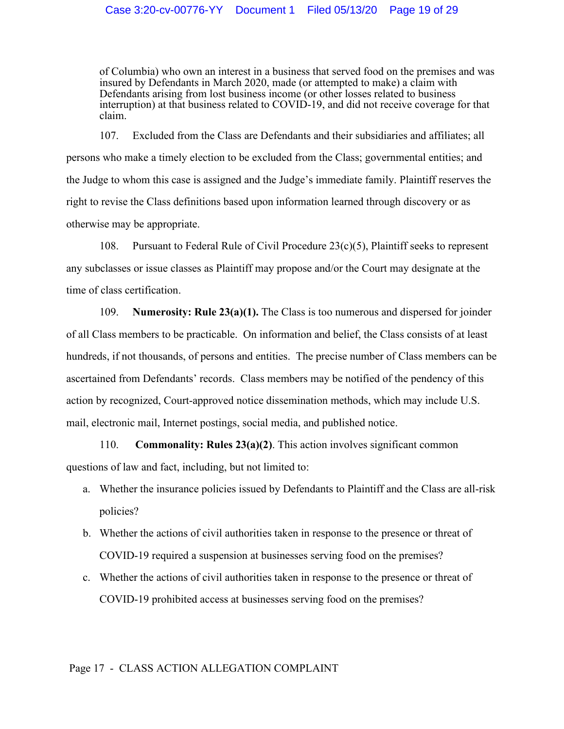of Columbia) who own an interest in a business that served food on the premises and was insured by Defendants in March 2020, made (or attempted to make) a claim with Defendants arising from lost business income (or other losses related to business interruption) at that business related to COVID-19, and did not receive coverage for that claim.

107. Excluded from the Class are Defendants and their subsidiaries and affiliates; all persons who make a timely election to be excluded from the Class; governmental entities; and the Judge to whom this case is assigned and the Judge's immediate family. Plaintiff reserves the right to revise the Class definitions based upon information learned through discovery or as otherwise may be appropriate.

108. Pursuant to Federal Rule of Civil Procedure 23(c)(5), Plaintiff seeks to represent any subclasses or issue classes as Plaintiff may propose and/or the Court may designate at the time of class certification.

109. **Numerosity: Rule 23(a)(1).** The Class is too numerous and dispersed for joinder of all Class members to be practicable. On information and belief, the Class consists of at least hundreds, if not thousands, of persons and entities. The precise number of Class members can be ascertained from Defendants' records. Class members may be notified of the pendency of this action by recognized, Court-approved notice dissemination methods, which may include U.S. mail, electronic mail, Internet postings, social media, and published notice.

110. **Commonality: Rules 23(a)(2)**. This action involves significant common questions of law and fact, including, but not limited to:

- a. Whether the insurance policies issued by Defendants to Plaintiff and the Class are all-risk policies?
- b. Whether the actions of civil authorities taken in response to the presence or threat of COVID-19 required a suspension at businesses serving food on the premises?
- c. Whether the actions of civil authorities taken in response to the presence or threat of COVID-19 prohibited access at businesses serving food on the premises?

#### Page 17 - CLASS ACTION ALLEGATION COMPLAINT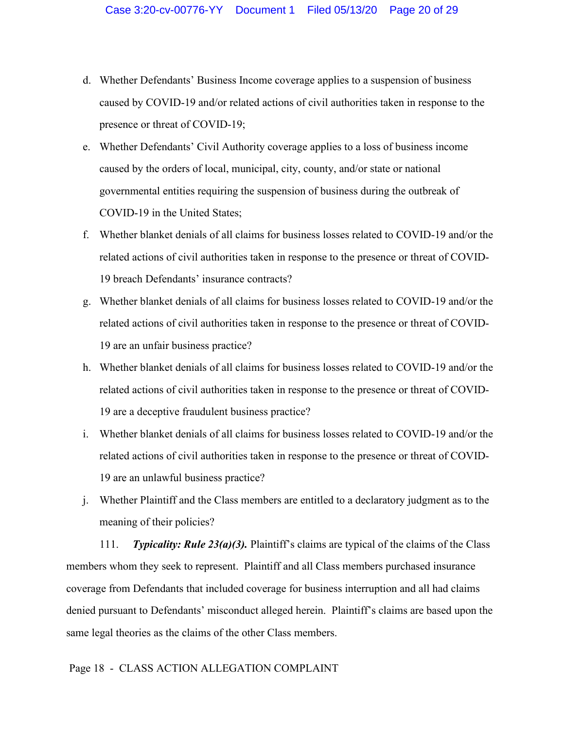- d. Whether Defendants' Business Income coverage applies to a suspension of business caused by COVID-19 and/or related actions of civil authorities taken in response to the presence or threat of COVID-19;
- e. Whether Defendants' Civil Authority coverage applies to a loss of business income caused by the orders of local, municipal, city, county, and/or state or national governmental entities requiring the suspension of business during the outbreak of COVID-19 in the United States;
- f. Whether blanket denials of all claims for business losses related to COVID-19 and/or the related actions of civil authorities taken in response to the presence or threat of COVID-19 breach Defendants' insurance contracts?
- g. Whether blanket denials of all claims for business losses related to COVID-19 and/or the related actions of civil authorities taken in response to the presence or threat of COVID-19 are an unfair business practice?
- h. Whether blanket denials of all claims for business losses related to COVID-19 and/or the related actions of civil authorities taken in response to the presence or threat of COVID-19 are a deceptive fraudulent business practice?
- i. Whether blanket denials of all claims for business losses related to COVID-19 and/or the related actions of civil authorities taken in response to the presence or threat of COVID-19 are an unlawful business practice?
- j. Whether Plaintiff and the Class members are entitled to a declaratory judgment as to the meaning of their policies?

111. *Typicality: Rule 23(a)(3).* Plaintiff's claims are typical of the claims of the Class members whom they seek to represent. Plaintiff and all Class members purchased insurance coverage from Defendants that included coverage for business interruption and all had claims denied pursuant to Defendants' misconduct alleged herein. Plaintiff's claims are based upon the same legal theories as the claims of the other Class members.

## Page 18 - CLASS ACTION ALLEGATION COMPLAINT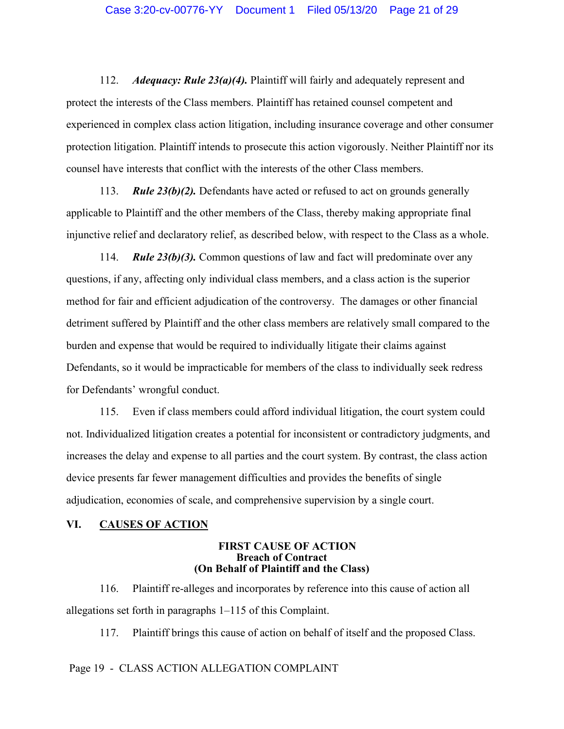112. *Adequacy: Rule 23(a)(4).* Plaintiff will fairly and adequately represent and protect the interests of the Class members. Plaintiff has retained counsel competent and experienced in complex class action litigation, including insurance coverage and other consumer protection litigation. Plaintiff intends to prosecute this action vigorously. Neither Plaintiff nor its counsel have interests that conflict with the interests of the other Class members.

113. *Rule 23(b)(2).* Defendants have acted or refused to act on grounds generally applicable to Plaintiff and the other members of the Class, thereby making appropriate final injunctive relief and declaratory relief, as described below, with respect to the Class as a whole.

114. *Rule 23(b)(3).* Common questions of law and fact will predominate over any questions, if any, affecting only individual class members, and a class action is the superior method for fair and efficient adjudication of the controversy. The damages or other financial detriment suffered by Plaintiff and the other class members are relatively small compared to the burden and expense that would be required to individually litigate their claims against Defendants, so it would be impracticable for members of the class to individually seek redress for Defendants' wrongful conduct.

115. Even if class members could afford individual litigation, the court system could not. Individualized litigation creates a potential for inconsistent or contradictory judgments, and increases the delay and expense to all parties and the court system. By contrast, the class action device presents far fewer management difficulties and provides the benefits of single adjudication, economies of scale, and comprehensive supervision by a single court.

#### <span id="page-20-1"></span><span id="page-20-0"></span>**VI. CAUSES OF ACTION**

## **FIRST CAUSE OF ACTION Breach of Contract (On Behalf of Plaintiff and the Class)**

116. Plaintiff re-alleges and incorporates by reference into this cause of action all allegations set forth in paragraphs 1–115 of this Complaint.

117. Plaintiff brings this cause of action on behalf of itself and the proposed Class.

# Page 19 - CLASS ACTION ALLEGATION COMPLAINT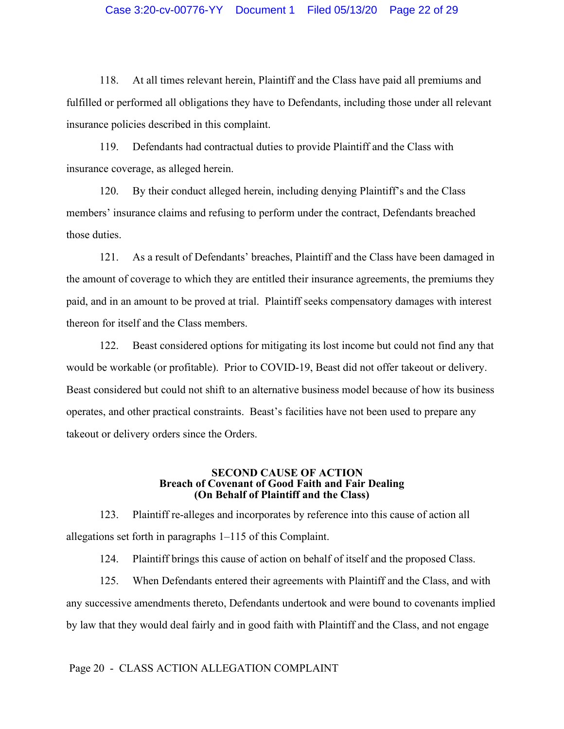#### Case 3:20-cv-00776-YY Document 1 Filed 05/13/20 Page 22 of 29

118. At all times relevant herein, Plaintiff and the Class have paid all premiums and fulfilled or performed all obligations they have to Defendants, including those under all relevant insurance policies described in this complaint.

119. Defendants had contractual duties to provide Plaintiff and the Class with insurance coverage, as alleged herein.

120. By their conduct alleged herein, including denying Plaintiff's and the Class members' insurance claims and refusing to perform under the contract, Defendants breached those duties.

121. As a result of Defendants' breaches, Plaintiff and the Class have been damaged in the amount of coverage to which they are entitled their insurance agreements, the premiums they paid, and in an amount to be proved at trial. Plaintiff seeks compensatory damages with interest thereon for itself and the Class members.

122. Beast considered options for mitigating its lost income but could not find any that would be workable (or profitable). Prior to COVID-19, Beast did not offer takeout or delivery. Beast considered but could not shift to an alternative business model because of how its business operates, and other practical constraints. Beast's facilities have not been used to prepare any takeout or delivery orders since the Orders.

#### **SECOND CAUSE OF ACTION Breach of Covenant of Good Faith and Fair Dealing (On Behalf of Plaintiff and the Class)**

<span id="page-21-0"></span>123. Plaintiff re-alleges and incorporates by reference into this cause of action all allegations set forth in paragraphs 1–115 of this Complaint.

124. Plaintiff brings this cause of action on behalf of itself and the proposed Class.

125. When Defendants entered their agreements with Plaintiff and the Class, and with any successive amendments thereto, Defendants undertook and were bound to covenants implied by law that they would deal fairly and in good faith with Plaintiff and the Class, and not engage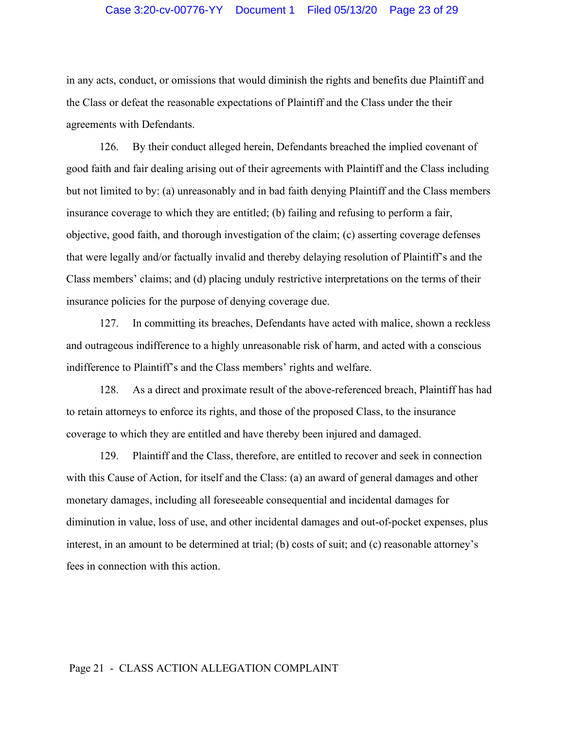## Case 3:20-cv-00776-YY Document 1 Filed 05/13/20 Page 23 of 29

in any acts, conduct, or omissions that would diminish the rights and benefits due Plaintiff and the Class or defeat the reasonable expectations of Plaintiff and the Class under the their agreements with Defendants.

126. By their conduct alleged herein, Defendants breached the implied covenant of good faith and fair dealing arising out of their agreements with Plaintiff and the Class including but not limited to by: (a) unreasonably and in bad faith denying Plaintiff and the Class members insurance coverage to which they are entitled; (b) failing and refusing to perform a fair, objective, good faith, and thorough investigation of the claim; (c) asserting coverage defenses that were legally and/or factually invalid and thereby delaying resolution of Plaintiff's and the Class members' claims; and (d) placing unduly restrictive interpretations on the terms of their insurance policies for the purpose of denying coverage due.

127. In committing its breaches, Defendants have acted with malice, shown a reckless and outrageous indifference to a highly unreasonable risk of harm, and acted with a conscious indifference to Plaintiff's and the Class members' rights and welfare.

128. As a direct and proximate result of the above-referenced breach, Plaintiff has had to retain attorneys to enforce its rights, and those of the proposed Class, to the insurance coverage to which they are entitled and have thereby been injured and damaged.

129. Plaintiff and the Class, therefore, are entitled to recover and seek in connection with this Cause of Action, for itself and the Class: (a) an award of general damages and other monetary damages, including all foreseeable consequential and incidental damages for diminution in value, loss of use, and other incidental damages and out-of-pocket expenses, plus interest, in an amount to be determined at trial; (b) costs of suit; and (c) reasonable attorney's fees in connection with this action.

#### <span id="page-22-0"></span>Page 21 - CLASS ACTION ALLEGATION COMPLAINT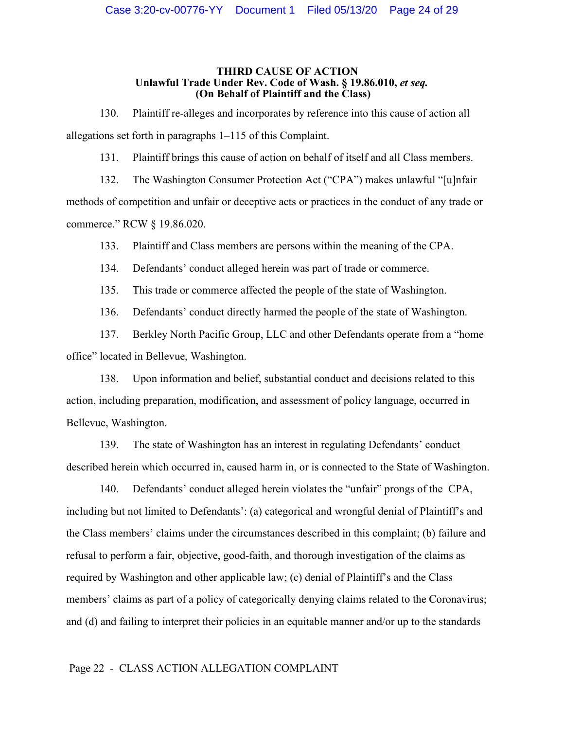#### **THIRD CAUSE OF ACTION** Unlawful Trade Under Rev. Code of Wash. § 19.86.010, et seq. **(On Behalf of Plaintiff and the Class)**

130. Plaintiff re-alleges and incorporates by reference into this cause of action all allegations set forth in paragraphs 1–115 of this Complaint.

131. Plaintiff brings this cause of action on behalf of itself and all Class members.

132. The Washington Consumer Protection Act ("CPA") makes unlawful "[u]nfair methods of competition and unfair or deceptive acts or practices in the conduct of any trade or commerce." RCW § 19.86.020.

133. Plaintiff and Class members are persons within the meaning of the CPA.

134. Defendants' conduct alleged herein was part of trade or commerce.

135. This trade or commerce affected the people of the state of Washington.

136. Defendants' conduct directly harmed the people of the state of Washington.

137. Berkley North Pacific Group, LLC and other Defendants operate from a "home office" located in Bellevue, Washington.

138. Upon information and belief, substantial conduct and decisions related to this action, including preparation, modification, and assessment of policy language, occurred in Bellevue, Washington.

139. The state of Washington has an interest in regulating Defendants' conduct described herein which occurred in, caused harm in, or is connected to the State of Washington.

140. Defendants' conduct alleged herein violates the "unfair" prongs of the CPA, including but not limited to Defendants': (a) categorical and wrongful denial of Plaintiff's and the Class members' claims under the circumstances described in this complaint; (b) failure and refusal to perform a fair, objective, good-faith, and thorough investigation of the claims as required by Washington and other applicable law; (c) denial of Plaintiff's and the Class members' claims as part of a policy of categorically denying claims related to the Coronavirus; and (d) and failing to interpret their policies in an equitable manner and/or up to the standards

#### Page 22 - CLASS ACTION ALLEGATION COMPLAINT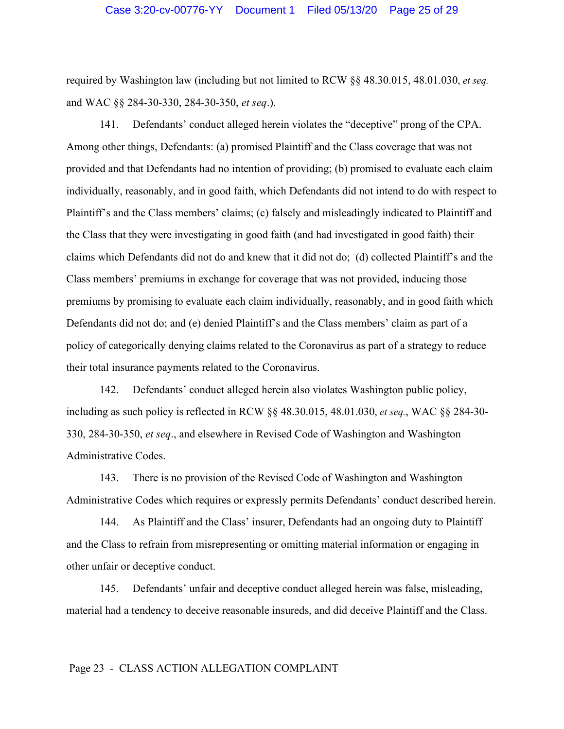required by Washington law (including but not limited to RCW §§ 48.30.015, 48.01.030, *et seq.* and WAC §§ 284-30-330, 284-30-350, *et seq*.).

141. Defendants' conduct alleged herein violates the "deceptive" prong of the CPA. Among other things, Defendants: (a) promised Plaintiff and the Class coverage that was not provided and that Defendants had no intention of providing; (b) promised to evaluate each claim individually, reasonably, and in good faith, which Defendants did not intend to do with respect to Plaintiff's and the Class members' claims; (c) falsely and misleadingly indicated to Plaintiff and the Class that they were investigating in good faith (and had investigated in good faith) their claims which Defendants did not do and knew that it did not do; (d) collected Plaintiff's and the Class members' premiums in exchange for coverage that was not provided, inducing those premiums by promising to evaluate each claim individually, reasonably, and in good faith which Defendants did not do; and (e) denied Plaintiff's and the Class members' claim as part of a policy of categorically denying claims related to the Coronavirus as part of a strategy to reduce their total insurance payments related to the Coronavirus.

142. Defendants' conduct alleged herein also violates Washington public policy, including as such policy is reflected in RCW §§ 48.30.015, 48.01.030, *et seq.*, WAC §§ 284-30- 330, 284-30-350, *et seq*., and elsewhere in Revised Code of Washington and Washington Administrative Codes.

143. There is no provision of the Revised Code of Washington and Washington Administrative Codes which requires or expressly permits Defendants' conduct described herein.

144. As Plaintiff and the Class' insurer, Defendants had an ongoing duty to Plaintiff and the Class to refrain from misrepresenting or omitting material information or engaging in other unfair or deceptive conduct.

145. Defendants' unfair and deceptive conduct alleged herein was false, misleading, material had a tendency to deceive reasonable insureds, and did deceive Plaintiff and the Class.

#### Page 23 - CLASS ACTION ALLEGATION COMPLAINT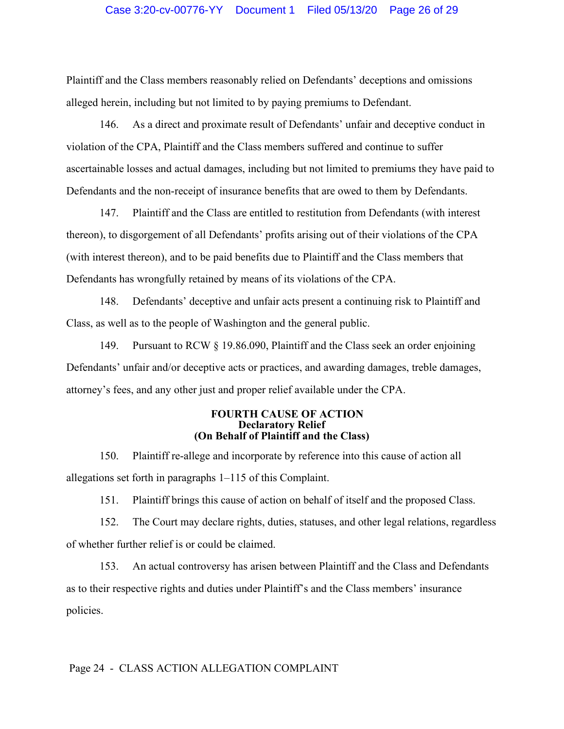Plaintiff and the Class members reasonably relied on Defendants' deceptions and omissions alleged herein, including but not limited to by paying premiums to Defendant.

146. As a direct and proximate result of Defendants' unfair and deceptive conduct in violation of the CPA, Plaintiff and the Class members suffered and continue to suffer ascertainable losses and actual damages, including but not limited to premiums they have paid to Defendants and the non-receipt of insurance benefits that are owed to them by Defendants.

147. Plaintiff and the Class are entitled to restitution from Defendants (with interest thereon), to disgorgement of all Defendants' profits arising out of their violations of the CPA (with interest thereon), and to be paid benefits due to Plaintiff and the Class members that Defendants has wrongfully retained by means of its violations of the CPA.

148. Defendants' deceptive and unfair acts present a continuing risk to Plaintiff and Class, as well as to the people of Washington and the general public.

149. Pursuant to RCW § 19.86.090, Plaintiff and the Class seek an order enjoining Defendants' unfair and/or deceptive acts or practices, and awarding damages, treble damages, attorney's fees, and any other just and proper relief available under the CPA.

#### **FOURTH CAUSE OF ACTION Declaratory Relief (On Behalf of Plaintiff and the Class)**

<span id="page-25-0"></span>150. Plaintiff re-allege and incorporate by reference into this cause of action all allegations set forth in paragraphs 1–115 of this Complaint.

151. Plaintiff brings this cause of action on behalf of itself and the proposed Class.

152. The Court may declare rights, duties, statuses, and other legal relations, regardless of whether further relief is or could be claimed.

153. An actual controversy has arisen between Plaintiff and the Class and Defendants as to their respective rights and duties under Plaintiff's and the Class members' insurance policies.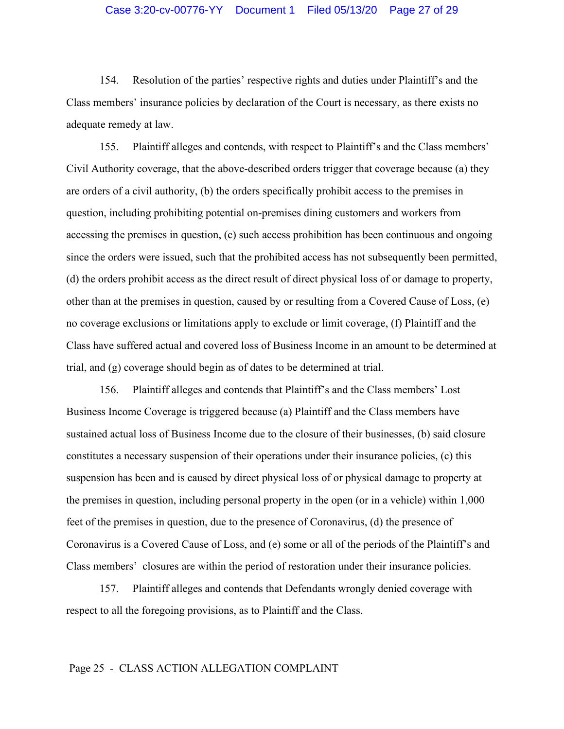## Case 3:20-cv-00776-YY Document 1 Filed 05/13/20 Page 27 of 29

154. Resolution of the parties' respective rights and duties under Plaintiff's and the Class members' insurance policies by declaration of the Court is necessary, as there exists no adequate remedy at law.

155. Plaintiff alleges and contends, with respect to Plaintiff's and the Class members' Civil Authority coverage, that the above-described orders trigger that coverage because (a) they are orders of a civil authority, (b) the orders specifically prohibit access to the premises in question, including prohibiting potential on-premises dining customers and workers from accessing the premises in question, (c) such access prohibition has been continuous and ongoing since the orders were issued, such that the prohibited access has not subsequently been permitted, (d) the orders prohibit access as the direct result of direct physical loss of or damage to property, other than at the premises in question, caused by or resulting from a Covered Cause of Loss, (e) no coverage exclusions or limitations apply to exclude or limit coverage, (f) Plaintiff and the Class have suffered actual and covered loss of Business Income in an amount to be determined at trial, and (g) coverage should begin as of dates to be determined at trial.

156. Plaintiff alleges and contends that Plaintiff's and the Class members' Lost Business Income Coverage is triggered because (a) Plaintiff and the Class members have sustained actual loss of Business Income due to the closure of their businesses, (b) said closure constitutes a necessary suspension of their operations under their insurance policies, (c) this suspension has been and is caused by direct physical loss of or physical damage to property at the premises in question, including personal property in the open (or in a vehicle) within 1,000 feet of the premises in question, due to the presence of Coronavirus, (d) the presence of Coronavirus is a Covered Cause of Loss, and (e) some or all of the periods of the Plaintiff's and Class members' closures are within the period of restoration under their insurance policies.

157. Plaintiff alleges and contends that Defendants wrongly denied coverage with respect to all the foregoing provisions, as to Plaintiff and the Class.

#### Page 25 - CLASS ACTION ALLEGATION COMPLAINT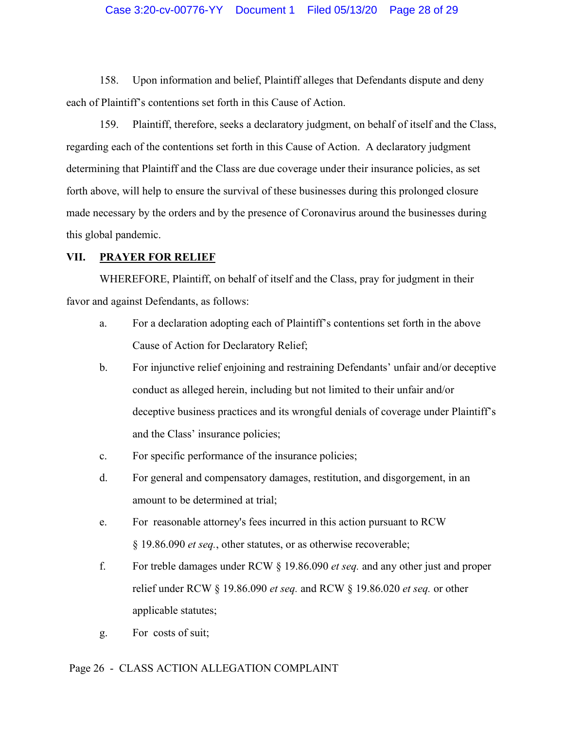## Case 3:20-cv-00776-YY Document 1 Filed 05/13/20 Page 28 of 29

158. Upon information and belief, Plaintiff alleges that Defendants dispute and deny each of Plaintiff's contentions set forth in this Cause of Action.

159. Plaintiff, therefore, seeks a declaratory judgment, on behalf of itself and the Class, regarding each of the contentions set forth in this Cause of Action. A declaratory judgment determining that Plaintiff and the Class are due coverage under their insurance policies, as set forth above, will help to ensure the survival of these businesses during this prolonged closure made necessary by the orders and by the presence of Coronavirus around the businesses during this global pandemic.

## <span id="page-27-0"></span>**VII. PRAYER FOR RELIEF**

WHEREFORE, Plaintiff, on behalf of itself and the Class, pray for judgment in their favor and against Defendants, as follows:

- a. For a declaration adopting each of Plaintiff's contentions set forth in the above Cause of Action for Declaratory Relief;
- b. For injunctive relief enjoining and restraining Defendants' unfair and/or deceptive conduct as alleged herein, including but not limited to their unfair and/or deceptive business practices and its wrongful denials of coverage under Plaintiff's and the Class' insurance policies;
- c. For specific performance of the insurance policies;
- d. For general and compensatory damages, restitution, and disgorgement, in an amount to be determined at trial;
- e. For reasonable attorney's fees incurred in this action pursuant to RCW § 19.86.090 *et seq.*, other statutes, or as otherwise recoverable;
- f. For treble damages under RCW § 19.86.090 *et seq.* and any other just and proper relief under RCW § 19.86.090 *et seq.* and RCW § 19.86.020 *et seq.* or other applicable statutes;
- g. For costs of suit;

#### Page 26 - CLASS ACTION ALLEGATION COMPLAINT